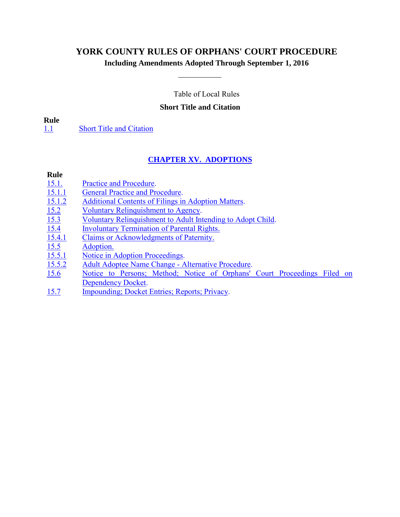# <span id="page-0-0"></span>**YORK COUNTY RULES OF ORPHANS' COURT PROCEDURE**

# **Including Amendments Adopted Through September 1, 2016**

Table of Local Rules

## **Short Title and Citation**

### **Rule**

[1.1](#page-1-0)[Short Title and](#page-1-0) Citation

# **CHAPTER XV. ADOPTIONS**

## **Rule**

- 15.1. [Practice and Procedure.](#page-1-1)
- 15.1.1 [General Practice and Procedure.](#page-1-2)
- 15.1.2 Additional Contents of Filings in Adoption Matters.<br>15.2 Voluntary Relinquishment to Agency.
- Voluntary Relinquishment to Agency.
- 15.3 [Voluntary Relinquishment to Adult Intending to Adopt Child.](#page-3-0)
- 15.4 [Involuntary Termination of Parental Rights.](#page-4-0)
- 15.4.1 [Claims or Acknowledgments of Paternity.](#page-5-0)
- $\frac{15.5}{15.5.1}$  [Adoption.](#page-5-0)
- [Notice in Adoption Proceedings.](#page-6-0)
- 15.5.2 [Adult Adoptee Name Change Alternative Procedure.](#page-6-0)
- 15.6 [Notice to Persons; Method; Notice of Orphans' Court Proceedings Filed on](#page-7-0) Dependency Docket.
- 15.7 [Impounding; Docket Entries; Reports; Privacy.](#page-7-0)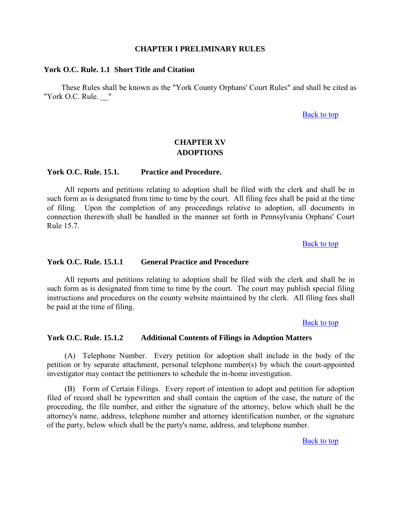### **CHAPTER I PRELIMINARY RULES**

## <span id="page-1-2"></span><span id="page-1-1"></span><span id="page-1-0"></span>**York O.C. Rule. 1.1 Short Title and Citation**

These Rules shall be known as the "York County Orphans' Court Rules" and shall be cited as "York O.C. Rule. "

## [Back to top](#page-0-0)

# **CHAPTER XV ADOPTIONS**

## **York O.C. Rule. 15.1. Practice and Procedure.**

All reports and petitions relating to adoption shall be filed with the clerk and shall be in such form as is designated from time to time by the court. All filing fees shall be paid at the time of filing. Upon the completion of any proceedings relative to adoption, all documents in connection therewith shall be handled in the manner set forth in Pennsylvania Orphans' Court Rule 15.7.

[Back to top](#page-0-0)

## **York O.C. Rule. 15.1.1 General Practice and Procedure**

All reports and petitions relating to adoption shall be filed with the clerk and shall be in such form as is designated from time to time by the court. The court may publish special filing instructions and procedures on the county website maintained by the clerk. All filing fees shall be paid at the time of filing.

**[Back to top](#page-0-0)** 

## **York O.C. Rule. 15.1.2 Additional Contents of Filings in Adoption Matters**

(A) Telephone Number. Every petition for adoption shall include in the body of the petition or by separate attachment, personal telephone number(s) by which the court-appointed investigator may contact the petitioners to schedule the in-home investigation.

 (B) Form of Certain Filings. Every report of intention to adopt and petition for adoption filed of record shall be typewritten and shall contain the caption of the case, the nature of the proceeding, the file number, and either the signature of the attorney, below which shall be the attorney's name, address, telephone number and attorney identification number, or the signature of the party, below which shall be the party's name, address, and telephone number.

[Back to top](#page-0-0)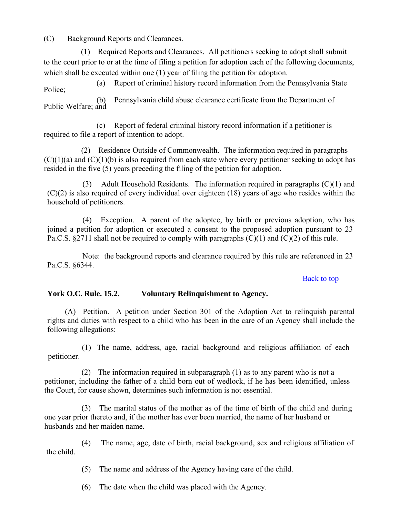<span id="page-2-0"></span>(C) Background Reports and Clearances.

 (1) Required Reports and Clearances. All petitioners seeking to adopt shall submit to the court prior to or at the time of filing a petition for adoption each of the following documents, which shall be executed within one (1) year of filing the petition for adoption.

(a) Report of criminal history record information from the Pennsylvania State Police;

(b) Pennsylvania child abuse clearance certificate from the Department of Public Welfare; and

 (c) Report of federal criminal history record information if a petitioner is required to file a report of intention to adopt.

 (2) Residence Outside of Commonwealth. The information required in paragraphs  $(C)(1)(a)$  and  $(C)(1)(b)$  is also required from each state where every petitioner seeking to adopt has resided in the five (5) years preceding the filing of the petition for adoption.

(3) Adult Household Residents. The information required in paragraphs (C)(1) and  $(C)(2)$  is also required of every individual over eighteen (18) years of age who resides within the household of petitioners.

(4) Exception. A parent of the adoptee, by birth or previous adoption, who has joined a petition for adoption or executed a consent to the proposed adoption pursuant to 23 Pa.C.S. §2711 shall not be required to comply with paragraphs (C)(1) and (C)(2) of this rule.

Note: the background reports and clearance required by this rule are referenced in 23 Pa.C.S. §6344.

# [Back to top](#page-0-0)

# **York O.C. Rule. 15.2. Voluntary Relinquishment to Agency.**

(A) Petition. A petition under Section 301 of the Adoption Act to relinquish parental rights and duties with respect to a child who has been in the care of an Agency shall include the following allegations:

 (1) The name, address, age, racial background and religious affiliation of each petitioner.

 (2) The information required in subparagraph (1) as to any parent who is not a petitioner, including the father of a child born out of wedlock, if he has been identified, unless the Court, for cause shown, determines such information is not essential.

 (3) The marital status of the mother as of the time of birth of the child and during one year prior thereto and, if the mother has ever been married, the name of her husband or husbands and her maiden name.

 (4) The name, age, date of birth, racial background, sex and religious affiliation of the child.

(5) The name and address of the Agency having care of the child.

(6) The date when the child was placed with the Agency.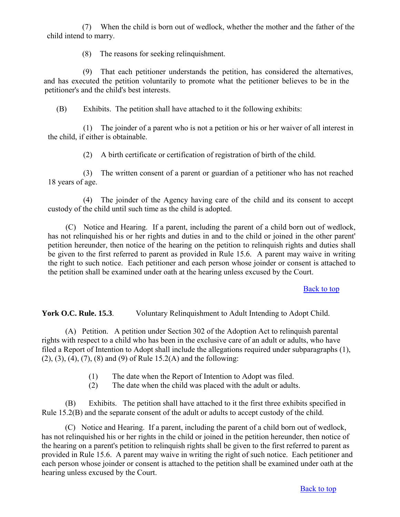<span id="page-3-0"></span>(7) When the child is born out of wedlock, whether the mother and the father of the child intend to marry.

(8) The reasons for seeking relinquishment.

 (9) That each petitioner understands the petition, has considered the alternatives, and has executed the petition voluntarily to promote what the petitioner believes to be in the petitioner's and the child's best interests.

(B) Exhibits. The petition shall have attached to it the following exhibits:

(1) The joinder of a parent who is not a petition or his or her waiver of all interest in the child, if either is obtainable.

(2) A birth certificate or certification of registration of birth of the child.

(3) The written consent of a parent or guardian of a petitioner who has not reached 18 years of age.

(4) The joinder of the Agency having care of the child and its consent to accept custody of the child until such time as the child is adopted.

(C) Notice and Hearing. If a parent, including the parent of a child born out of wedlock, has not relinquished his or her rights and duties in and to the child or joined in the other parent' petition hereunder, then notice of the hearing on the petition to relinquish rights and duties shall be given to the first referred to parent as provided in Rule 15.6. A parent may waive in writing the right to such notice. Each petitioner and each person whose joinder or consent is attached to the petition shall be examined under oath at the hearing unless excused by the Court.

# [Back to top](#page-0-0)

**York O.C. Rule. 15.3**. Voluntary Relinquishment to Adult Intending to Adopt Child.

(A) Petition. A petition under Section 302 of the Adoption Act to relinquish parental rights with respect to a child who has been in the exclusive care of an adult or adults, who have filed a Report of Intention to Adopt shall include the allegations required under subparagraphs (1),  $(2)$ ,  $(3)$ ,  $(4)$ ,  $(7)$ ,  $(8)$  and  $(9)$  of Rule 15.2(A) and the following:

- (1) The date when the Report of Intention to Adopt was filed.
- (2) The date when the child was placed with the adult or adults.

(B) Exhibits. The petition shall have attached to it the first three exhibits specified in Rule 15.2(B) and the separate consent of the adult or adults to accept custody of the child.

(C) Notice and Hearing. If a parent, including the parent of a child born out of wedlock, has not relinquished his or her rights in the child or joined in the petition hereunder, then notice of the hearing on a parent's petition to relinquish rights shall be given to the first referred to parent as provided in Rule 15.6. A parent may waive in writing the right of such notice. Each petitioner and each person whose joinder or consent is attached to the petition shall be examined under oath at the hearing unless excused by the Court.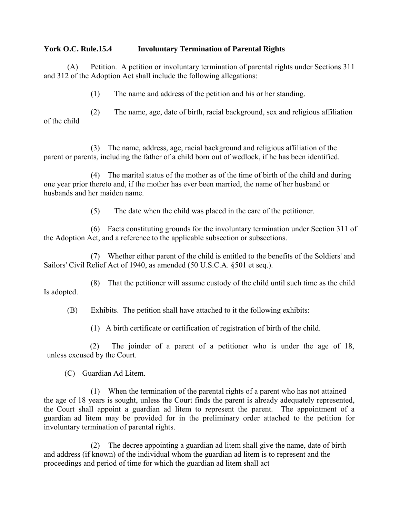## <span id="page-4-0"></span>**York O.C. Rule.15.4 Involuntary Termination of Parental Rights**

(A) Petition. A petition or involuntary termination of parental rights under Sections 311 and 312 of the Adoption Act shall include the following allegations:

(1) The name and address of the petition and his or her standing.

(2) The name, age, date of birth, racial background, sex and religious affiliation of the child

(3) The name, address, age, racial background and religious affiliation of the parent or parents, including the father of a child born out of wedlock, if he has been identified.

(4) The marital status of the mother as of the time of birth of the child and during one year prior thereto and, if the mother has ever been married, the name of her husband or husbands and her maiden name.

(5) The date when the child was placed in the care of the petitioner.

(6) Facts constituting grounds for the involuntary termination under Section 311 of the Adoption Act, and a reference to the applicable subsection or subsections.

(7) Whether either parent of the child is entitled to the benefits of the Soldiers' and Sailors' Civil Relief Act of 1940, as amended (50 U.S.C.A. §501 et seq.).

(8) That the petitioner will assume custody of the child until such time as the child Is adopted.

(B) Exhibits. The petition shall have attached to it the following exhibits:

(1) A birth certificate or certification of registration of birth of the child.

 (2) The joinder of a parent of a petitioner who is under the age of 18, unless excused by the Court.

(C) Guardian Ad Litem.

(1) When the termination of the parental rights of a parent who has not attained the age of 18 years is sought, unless the Court finds the parent is already adequately represented, the Court shall appoint a guardian ad litem to represent the parent. The appointment of a guardian ad litem may be provided for in the preliminary order attached to the petition for involuntary termination of parental rights.

(2) The decree appointing a guardian ad litem shall give the name, date of birth and address (if known) of the individual whom the guardian ad litem is to represent and the proceedings and period of time for which the guardian ad litem shall act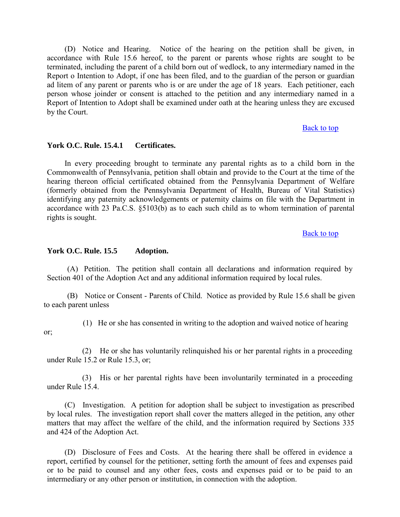<span id="page-5-0"></span>(D) Notice and Hearing. Notice of the hearing on the petition shall be given, in accordance with Rule 15.6 hereof, to the parent or parents whose rights are sought to be terminated, including the parent of a child born out of wedlock, to any intermediary named in the Report o Intention to Adopt, if one has been filed, and to the guardian of the person or guardian ad litem of any parent or parents who is or are under the age of 18 years. Each petitioner, each person whose joinder or consent is attached to the petition and any intermediary named in a Report of Intention to Adopt shall be examined under oath at the hearing unless they are excused by the Court.

[Back to top](#page-0-0)

#### **York O.C. Rule. 15.4.1 Certificates.**

In every proceeding brought to terminate any parental rights as to a child born in the Commonwealth of Pennsylvania, petition shall obtain and provide to the Court at the time of the hearing thereon official certificated obtained from the Pennsylvania Department of Welfare (formerly obtained from the Pennsylvania Department of Health, Bureau of Vital Statistics) identifying any paternity acknowledgements or paternity claims on file with the Department in accordance with 23 Pa.C.S. §5103(b) as to each such child as to whom termination of parental rights is sought.

[Back to top](#page-0-0)

#### **York O.C. Rule. 15.5 Adoption.**

 (A) Petition. The petition shall contain all declarations and information required by Section 401 of the Adoption Act and any additional information required by local rules.

(B) Notice or Consent - Parents of Child. Notice as provided by Rule 15.6 shall be given to each parent unless

or;

(1) He or she has consented in writing to the adoption and waived notice of hearing

(2) He or she has voluntarily relinquished his or her parental rights in a proceeding under Rule 15.2 or Rule 15.3, or;

(3) His or her parental rights have been involuntarily terminated in a proceeding under Rule 15.4.

(C) Investigation. A petition for adoption shall be subject to investigation as prescribed by local rules. The investigation report shall cover the matters alleged in the petition, any other matters that may affect the welfare of the child, and the information required by Sections 335 and 424 of the Adoption Act.

(D) Disclosure of Fees and Costs. At the hearing there shall be offered in evidence a report, certified by counsel for the petitioner, setting forth the amount of fees and expenses paid or to be paid to counsel and any other fees, costs and expenses paid or to be paid to an intermediary or any other person or institution, in connection with the adoption.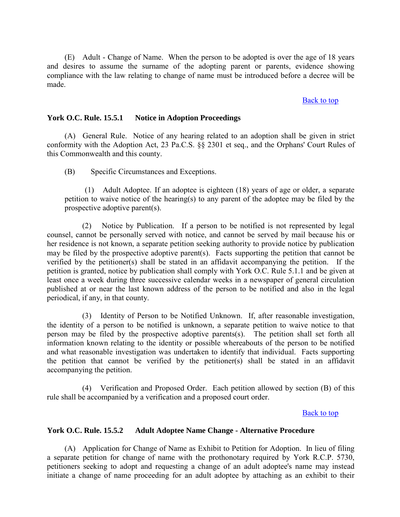<span id="page-6-0"></span>(E) Adult - Change of Name. When the person to be adopted is over the age of 18 years and desires to assume the surname of the adopting parent or parents, evidence showing compliance with the law relating to change of name must be introduced before a decree will be made.

### [Back to top](#page-0-0)

#### **York O.C. Rule. 15.5.1 Notice in Adoption Proceedings**

(A) General Rule. Notice of any hearing related to an adoption shall be given in strict conformity with the Adoption Act, 23 Pa.C.S. §§ 2301 et seq., and the Orphans' Court Rules of this Commonwealth and this county.

(B) Specific Circumstances and Exceptions.

(1) Adult Adoptee. If an adoptee is eighteen (18) years of age or older, a separate petition to waive notice of the hearing(s) to any parent of the adoptee may be filed by the prospective adoptive parent(s).

(2) Notice by Publication. If a person to be notified is not represented by legal counsel, cannot be personally served with notice, and cannot be served by mail because his or her residence is not known, a separate petition seeking authority to provide notice by publication may be filed by the prospective adoptive parent(s). Facts supporting the petition that cannot be verified by the petitioner(s) shall be stated in an affidavit accompanying the petition. If the petition is granted, notice by publication shall comply with York O.C. Rule 5.1.1 and be given at least once a week during three successive calendar weeks in a newspaper of general circulation published at or near the last known address of the person to be notified and also in the legal periodical, if any, in that county.

(3) Identity of Person to be Notified Unknown. If, after reasonable investigation, the identity of a person to be notified is unknown, a separate petition to waive notice to that person may be filed by the prospective adoptive parents(s). The petition shall set forth all information known relating to the identity or possible whereabouts of the person to be notified and what reasonable investigation was undertaken to identify that individual. Facts supporting the petition that cannot be verified by the petitioner(s) shall be stated in an affidavit accompanying the petition.

(4) Verification and Proposed Order. Each petition allowed by section (B) of this rule shall be accompanied by a verification and a proposed court order.

### [Back to top](#page-0-0)

## **York O.C. Rule. 15.5.2 Adult Adoptee Name Change - Alternative Procedure**

(A) Application for Change of Name as Exhibit to Petition for Adoption. In lieu of filing a separate petition for change of name with the prothonotary required by York R.C.P. 5730, petitioners seeking to adopt and requesting a change of an adult adoptee's name may instead initiate a change of name proceeding for an adult adoptee by attaching as an exhibit to their